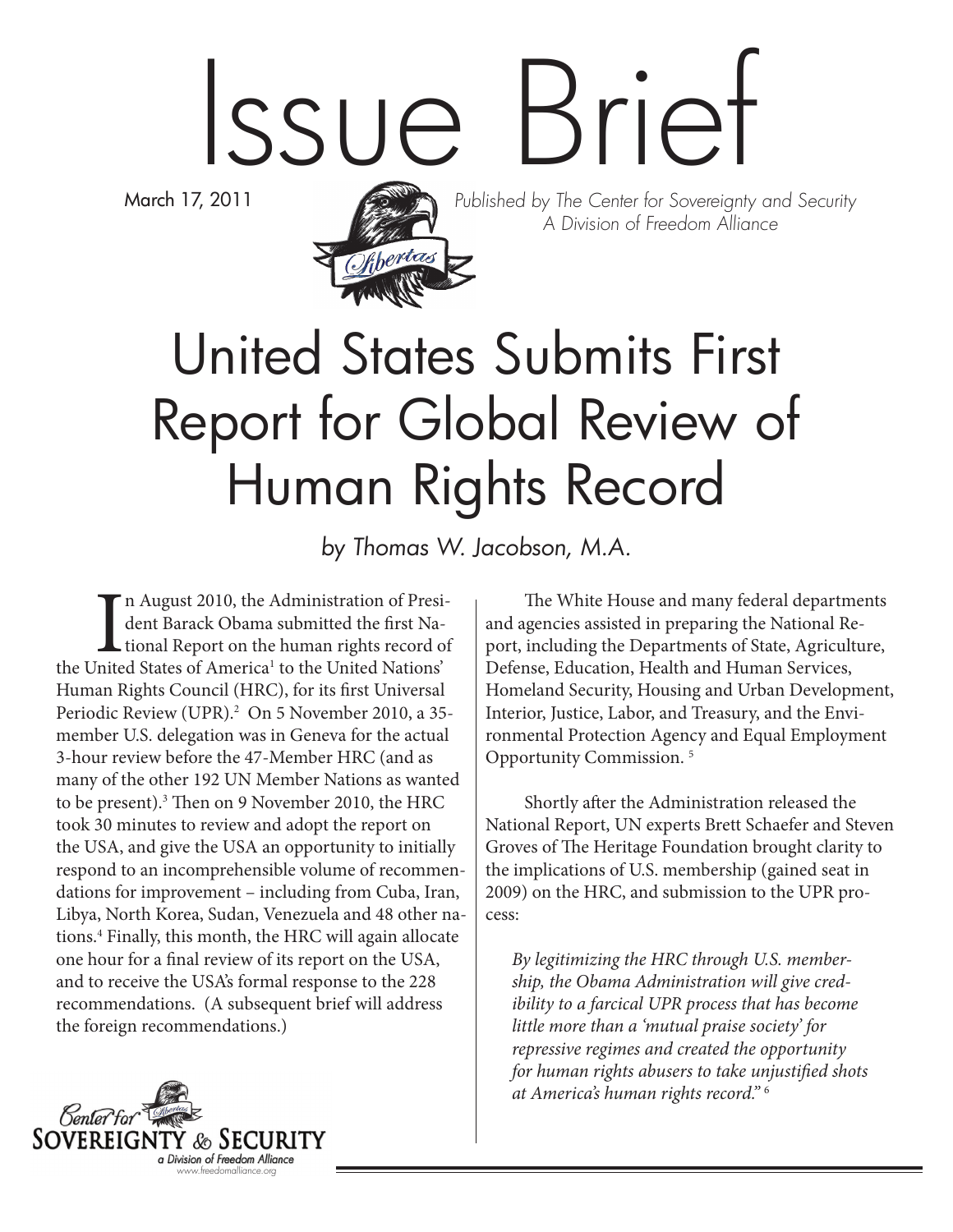# Issue Brief

March 17, 2011



Published by The Center for Sovereignty and Security A Division of Freedom Alliance

# United States Submits First Report for Global Review of Human Rights Record

by Thomas W. Jacobson, M.A.

In August 2010, the Administration of President Barack Obama submitted the first National Report on the human rights record of the United States of America<sup>1</sup> to the United Nations' n August 2010, the Administration of President Barack Obama submitted the first Na- $\mathsf L$  tional Report on the human rights record of Human Rights Council (HRC), for its first Universal Periodic Review (UPR).<sup>2</sup> On 5 November 2010, a 35member U.S. delegation was in Geneva for the actual 3-hour review before the 47-Member HRC (and as many of the other 192 UN Member Nations as wanted to be present).3 Then on 9 November 2010, the HRC took 30 minutes to review and adopt the report on the USA, and give the USA an opportunity to initially respond to an incomprehensible volume of recommendations for improvement – including from Cuba, Iran, Libya, North Korea, Sudan, Venezuela and 48 other nations.4 Finally, this month, the HRC will again allocate one hour for a final review of its report on the USA, and to receive the USA's formal response to the 228 recommendations. (A subsequent brief will address the foreign recommendations.)

The White House and many federal departments and agencies assisted in preparing the National Report, including the Departments of State, Agriculture, Defense, Education, Health and Human Services, Homeland Security, Housing and Urban Development, Interior, Justice, Labor, and Treasury, and the Environmental Protection Agency and Equal Employment Opportunity Commission. 5

Shortly after the Administration released the National Report, UN experts Brett Schaefer and Steven Groves of The Heritage Foundation brought clarity to the implications of U.S. membership (gained seat in 2009) on the HRC, and submission to the UPR process:

*By legitimizing the HRC through U.S. membership, the Obama Administration will give credibility to a farcical UPR process that has become little more than a 'mutual praise society' for repressive regimes and created the opportunity for human rights abusers to take unjustified shots at America's human rights record."* <sup>6</sup>

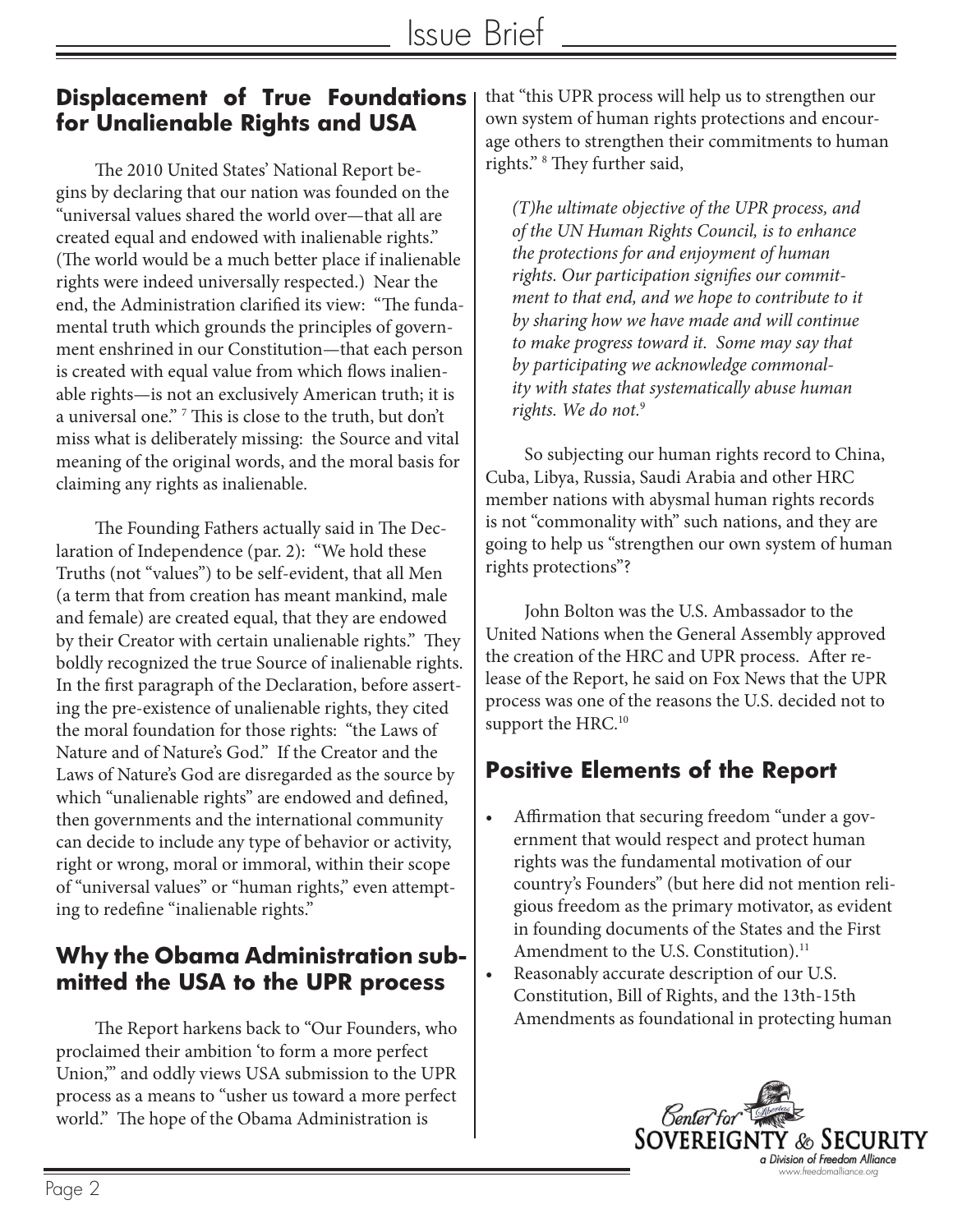#### **Displacement of True Foundations for Unalienable Rights and USA**

The 2010 United States' National Report begins by declaring that our nation was founded on the "universal values shared the world over—that all are created equal and endowed with inalienable rights." (The world would be a much better place if inalienable rights were indeed universally respected.) Near the end, the Administration clarified its view: "The fundamental truth which grounds the principles of government enshrined in our Constitution—that each person is created with equal value from which flows inalienable rights—is not an exclusively American truth; it is a universal one." 7 This is close to the truth, but don't miss what is deliberately missing: the Source and vital meaning of the original words, and the moral basis for claiming any rights as inalienable.

The Founding Fathers actually said in The Declaration of Independence (par. 2): "We hold these Truths (not "values") to be self-evident, that all Men (a term that from creation has meant mankind, male and female) are created equal, that they are endowed by their Creator with certain unalienable rights." They boldly recognized the true Source of inalienable rights. In the first paragraph of the Declaration, before asserting the pre-existence of unalienable rights, they cited the moral foundation for those rights: "the Laws of Nature and of Nature's God." If the Creator and the Laws of Nature's God are disregarded as the source by which "unalienable rights" are endowed and defined, then governments and the international community can decide to include any type of behavior or activity, right or wrong, moral or immoral, within their scope of "universal values" or "human rights," even attempting to redefine "inalienable rights."

### **Why the Obama Administration submitted the USA to the UPR process**

The Report harkens back to "Our Founders, who proclaimed their ambition 'to form a more perfect Union,'" and oddly views USA submission to the UPR process as a means to "usher us toward a more perfect world." The hope of the Obama Administration is

that "this UPR process will help us to strengthen our own system of human rights protections and encourage others to strengthen their commitments to human rights." 8 They further said,

*(T)he ultimate objective of the UPR process, and of the UN Human Rights Council, is to enhance the protections for and enjoyment of human rights. Our participation signifies our commitment to that end, and we hope to contribute to it by sharing how we have made and will continue to make progress toward it. Some may say that by participating we acknowledge commonality with states that systematically abuse human rights. We do not.*<sup>9</sup>

So subjecting our human rights record to China, Cuba, Libya, Russia, Saudi Arabia and other HRC member nations with abysmal human rights records is not "commonality with" such nations, and they are going to help us "strengthen our own system of human rights protections"?

John Bolton was the U.S. Ambassador to the United Nations when the General Assembly approved the creation of the HRC and UPR process. After release of the Report, he said on Fox News that the UPR process was one of the reasons the U.S. decided not to support the HRC.<sup>10</sup>

# **Positive Elements of the Report**

- Affirmation that securing freedom "under a government that would respect and protect human rights was the fundamental motivation of our country's Founders" (but here did not mention religious freedom as the primary motivator, as evident in founding documents of the States and the First Amendment to the U.S. Constitution).<sup>11</sup>
- Reasonably accurate description of our U.S. Constitution, Bill of Rights, and the 13th-15th Amendments as foundational in protecting human

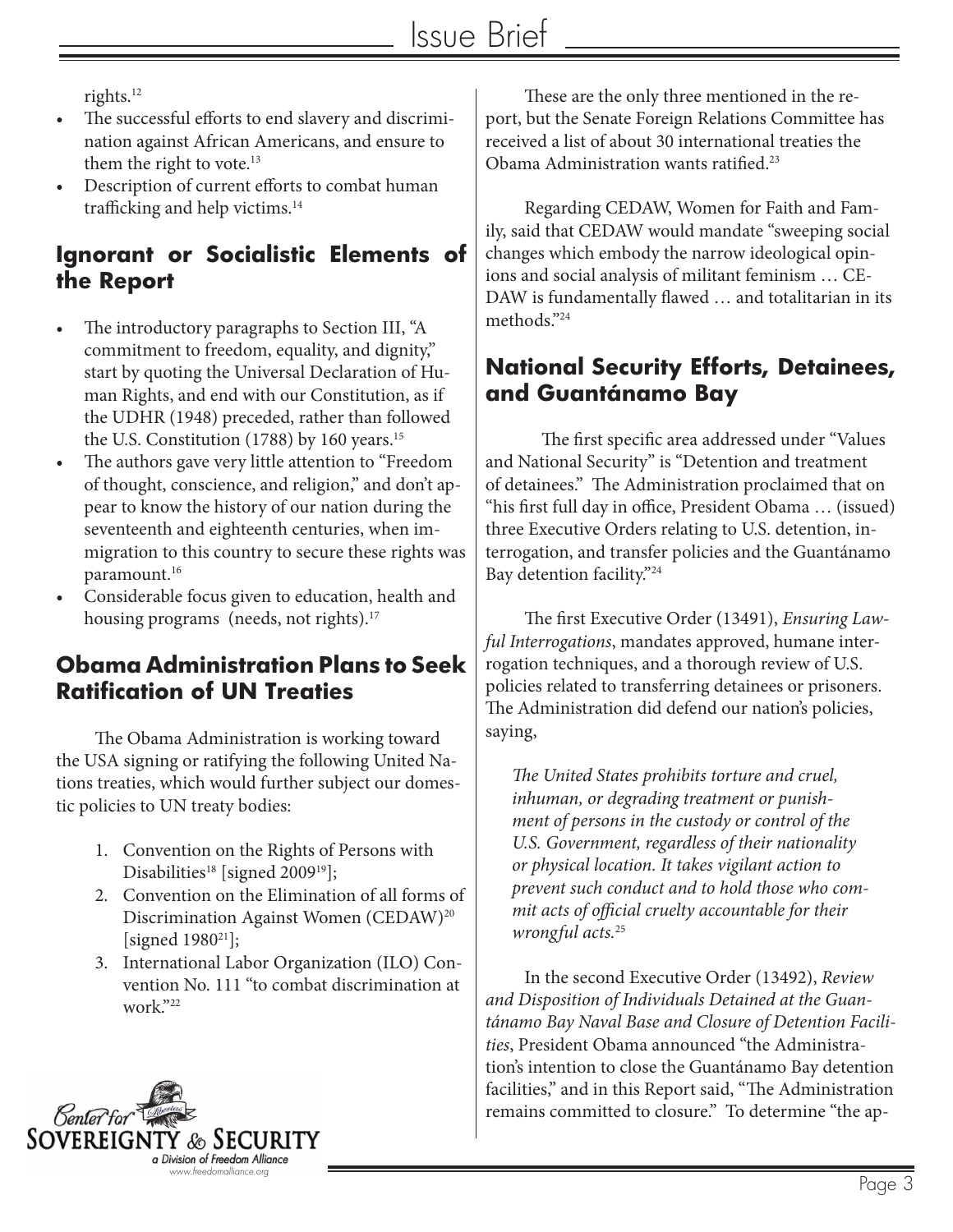rights.12

- The successful efforts to end slavery and discrimination against African Americans, and ensure to them the right to vote.<sup>13</sup>
- Description of current efforts to combat human trafficking and help victims.14

#### **Ignorant or Socialistic Elements of the Report**

- The introductory paragraphs to Section III, "A commitment to freedom, equality, and dignity," start by quoting the Universal Declaration of Human Rights, and end with our Constitution, as if the UDHR (1948) preceded, rather than followed the U.S. Constitution (1788) by 160 years.<sup>15</sup>
- The authors gave very little attention to "Freedom" of thought, conscience, and religion," and don't appear to know the history of our nation during the seventeenth and eighteenth centuries, when immigration to this country to secure these rights was paramount.16
- Considerable focus given to education, health and housing programs (needs, not rights).<sup>17</sup>

#### **Obama Administration Plans to Seek Ratification of UN Treaties**

The Obama Administration is working toward the USA signing or ratifying the following United Nations treaties, which would further subject our domestic policies to UN treaty bodies:

- 1. Convention on the Rights of Persons with Disabilities<sup>18</sup> [signed 2009<sup>19</sup>];
- 2. Convention on the Elimination of all forms of Discrimination Against Women (CEDAW)<sup>20</sup> [signed 1980<sup>21</sup>];
- 3. International Labor Organization (ILO) Convention No. 111 "to combat discrimination at work."22

These are the only three mentioned in the report, but the Senate Foreign Relations Committee has received a list of about 30 international treaties the Obama Administration wants ratified.23

Regarding CEDAW, Women for Faith and Family, said that CEDAW would mandate "sweeping social changes which embody the narrow ideological opinions and social analysis of militant feminism … CE-DAW is fundamentally flawed … and totalitarian in its methods."24

#### **National Security Efforts, Detainees, and Guantánamo Bay**

The first specific area addressed under "Values and National Security" is "Detention and treatment of detainees." The Administration proclaimed that on "his first full day in office, President Obama … (issued) three Executive Orders relating to U.S. detention, interrogation, and transfer policies and the Guantánamo Bay detention facility."24

The first Executive Order (13491), *Ensuring Lawful Interrogations*, mandates approved, humane interrogation techniques, and a thorough review of U.S. policies related to transferring detainees or prisoners. The Administration did defend our nation's policies, saying,

*The United States prohibits torture and cruel, inhuman, or degrading treatment or punishment of persons in the custody or control of the U.S. Government, regardless of their nationality or physical location. It takes vigilant action to prevent such conduct and to hold those who commit acts of official cruelty accountable for their wrongful acts.*<sup>25</sup>

In the second Executive Order (13492), *Review and Disposition of Individuals Detained at the Guantánamo Bay Naval Base and Closure of Detention Facilities*, President Obama announced "the Administration's intention to close the Guantánamo Bay detention facilities," and in this Report said, "The Administration remains committed to closure." To determine "the ap-

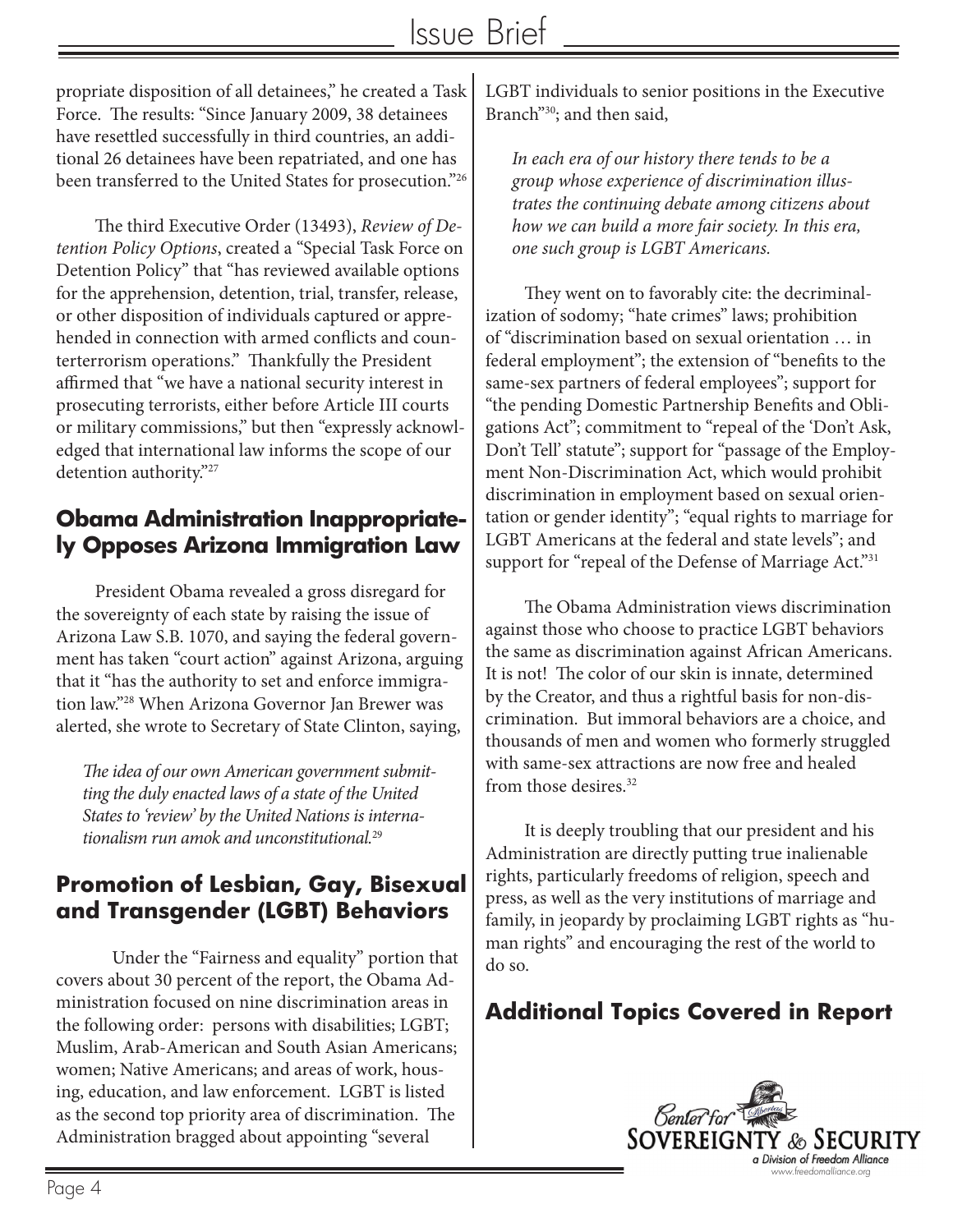propriate disposition of all detainees," he created a Task Force. The results: "Since January 2009, 38 detainees have resettled successfully in third countries, an additional 26 detainees have been repatriated, and one has been transferred to the United States for prosecution."26

The third Executive Order (13493), *Review of Detention Policy Options*, created a "Special Task Force on Detention Policy" that "has reviewed available options for the apprehension, detention, trial, transfer, release, or other disposition of individuals captured or apprehended in connection with armed conflicts and counterterrorism operations." Thankfully the President affirmed that "we have a national security interest in prosecuting terrorists, either before Article III courts or military commissions," but then "expressly acknowledged that international law informs the scope of our detention authority."27

#### **Obama Administration Inappropriately Opposes Arizona Immigration Law**

President Obama revealed a gross disregard for the sovereignty of each state by raising the issue of Arizona Law S.B. 1070, and saying the federal government has taken "court action" against Arizona, arguing that it "has the authority to set and enforce immigration law."28 When Arizona Governor Jan Brewer was alerted, she wrote to Secretary of State Clinton, saying,

*The idea of our own American government submitting the duly enacted laws of a state of the United States to 'review' by the United Nations is internationalism run amok and unconstitutional.*<sup>29</sup>

#### **Promotion of Lesbian, Gay, Bisexual and Transgender (LGBT) Behaviors**

Under the "Fairness and equality" portion that covers about 30 percent of the report, the Obama Administration focused on nine discrimination areas in the following order: persons with disabilities; LGBT; Muslim, Arab-American and South Asian Americans; women; Native Americans; and areas of work, housing, education, and law enforcement. LGBT is listed as the second top priority area of discrimination. The Administration bragged about appointing "several

LGBT individuals to senior positions in the Executive Branch"<sup>30</sup>; and then said,

*In each era of our history there tends to be a group whose experience of discrimination illustrates the continuing debate among citizens about how we can build a more fair society. In this era, one such group is LGBT Americans.* 

They went on to favorably cite: the decriminalization of sodomy; "hate crimes" laws; prohibition of "discrimination based on sexual orientation … in federal employment"; the extension of "benefits to the same-sex partners of federal employees"; support for "the pending Domestic Partnership Benefits and Obligations Act"; commitment to "repeal of the 'Don't Ask, Don't Tell' statute"; support for "passage of the Employment Non-Discrimination Act, which would prohibit discrimination in employment based on sexual orientation or gender identity"; "equal rights to marriage for LGBT Americans at the federal and state levels"; and support for "repeal of the Defense of Marriage Act."<sup>31</sup>

The Obama Administration views discrimination against those who choose to practice LGBT behaviors the same as discrimination against African Americans. It is not! The color of our skin is innate, determined by the Creator, and thus a rightful basis for non-discrimination. But immoral behaviors are a choice, and thousands of men and women who formerly struggled with same-sex attractions are now free and healed from those desires.32

It is deeply troubling that our president and his Administration are directly putting true inalienable rights, particularly freedoms of religion, speech and press, as well as the very institutions of marriage and family, in jeopardy by proclaiming LGBT rights as "human rights" and encouraging the rest of the world to do so.

# **Additional Topics Covered in Report**

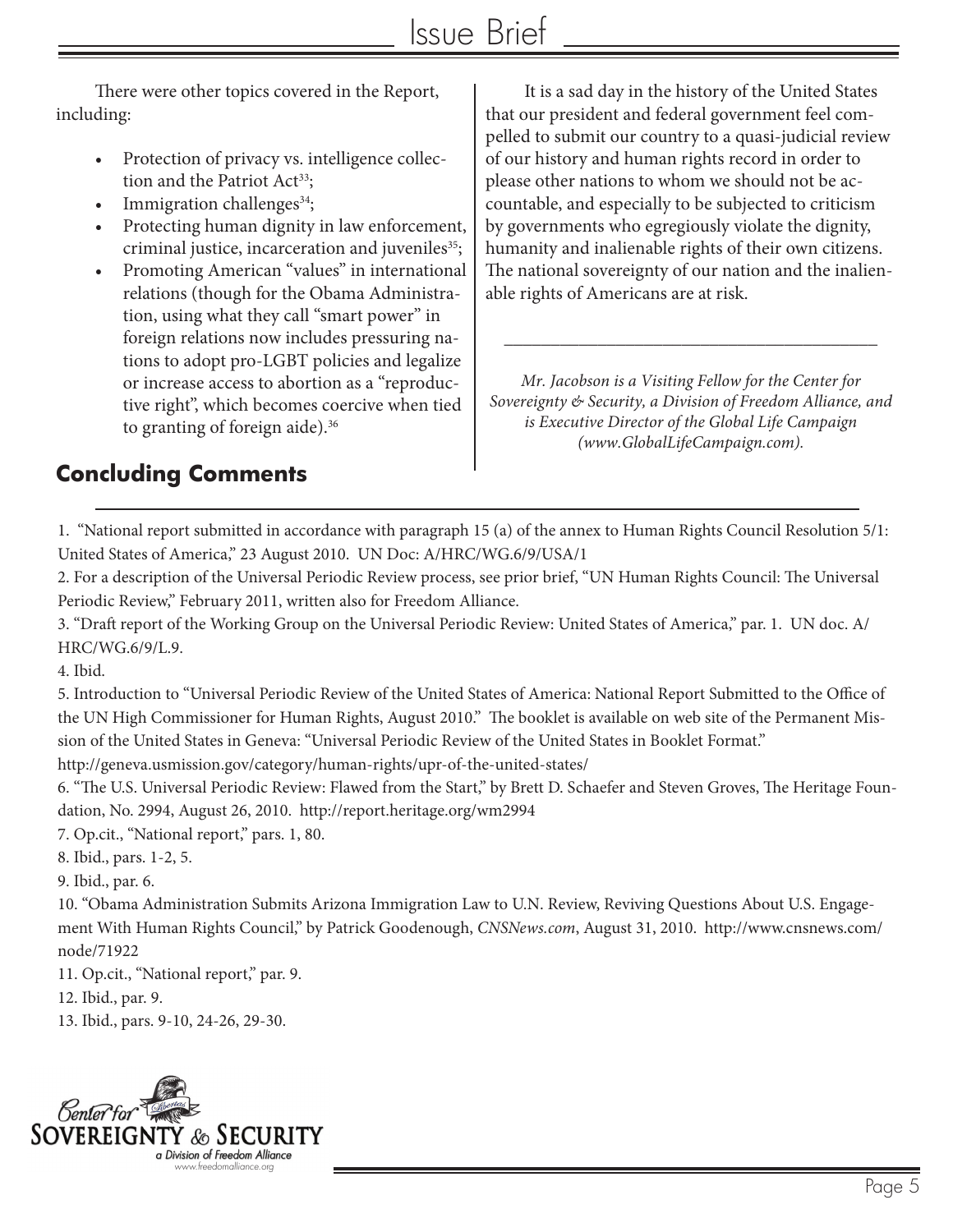There were other topics covered in the Report, including:

- Protection of privacy vs. intelligence collection and the Patriot Act<sup>33</sup>;
- Immigration challenges $34$ ;
- Protecting human dignity in law enforcement, criminal justice, incarceration and juveniles<sup>35</sup>;
- Promoting American "values" in international relations (though for the Obama Administration, using what they call "smart power" in foreign relations now includes pressuring nations to adopt pro-LGBT policies and legalize or increase access to abortion as a "reproductive right", which becomes coercive when tied to granting of foreign aide).<sup>36</sup>

It is a sad day in the history of the United States that our president and federal government feel compelled to submit our country to a quasi-judicial review of our history and human rights record in order to please other nations to whom we should not be accountable, and especially to be subjected to criticism by governments who egregiously violate the dignity, humanity and inalienable rights of their own citizens. The national sovereignty of our nation and the inalienable rights of Americans are at risk.

*Mr. Jacobson is a Visiting Fellow for the Center for Sovereignty & Security, a Division of Freedom Alliance, and is Executive Director of the Global Life Campaign (www.GlobalLifeCampaign.com).* 

\_\_\_\_\_\_\_\_\_\_\_\_\_\_\_\_\_\_\_\_\_\_\_\_\_\_\_\_\_\_\_\_\_\_\_\_\_\_\_\_

# **Concluding Comments**

1. "National report submitted in accordance with paragraph 15 (a) of the annex to Human Rights Council Resolution 5/1: United States of America," 23 August 2010. UN Doc: A/HRC/WG.6/9/USA/1

2. For a description of the Universal Periodic Review process, see prior brief, "UN Human Rights Council: The Universal Periodic Review," February 2011, written also for Freedom Alliance.

3. "Draft report of the Working Group on the Universal Periodic Review: United States of America," par. 1. UN doc. A/ HRC/WG.6/9/L.9.

4. Ibid.

5. Introduction to "Universal Periodic Review of the United States of America: National Report Submitted to the Office of the UN High Commissioner for Human Rights, August 2010." The booklet is available on web site of the Permanent Mission of the United States in Geneva: "Universal Periodic Review of the United States in Booklet Format." http://geneva.usmission.gov/category/human-rights/upr-of-the-united-states/

6. "The U.S. Universal Periodic Review: Flawed from the Start," by Brett D. Schaefer and Steven Groves, The Heritage Foundation, No. 2994, August 26, 2010. http://report.heritage.org/wm2994

7. Op.cit., "National report," pars. 1, 80.

8. Ibid., pars. 1-2, 5.

9. Ibid., par. 6.

10. "Obama Administration Submits Arizona Immigration Law to U.N. Review, Reviving Questions About U.S. Engagement With Human Rights Council," by Patrick Goodenough, *CNSNews.com*, August 31, 2010. http://www.cnsnews.com/ node/71922

11. Op.cit., "National report," par. 9.

12. Ibid., par. 9.

13. Ibid., pars. 9-10, 24-26, 29-30.